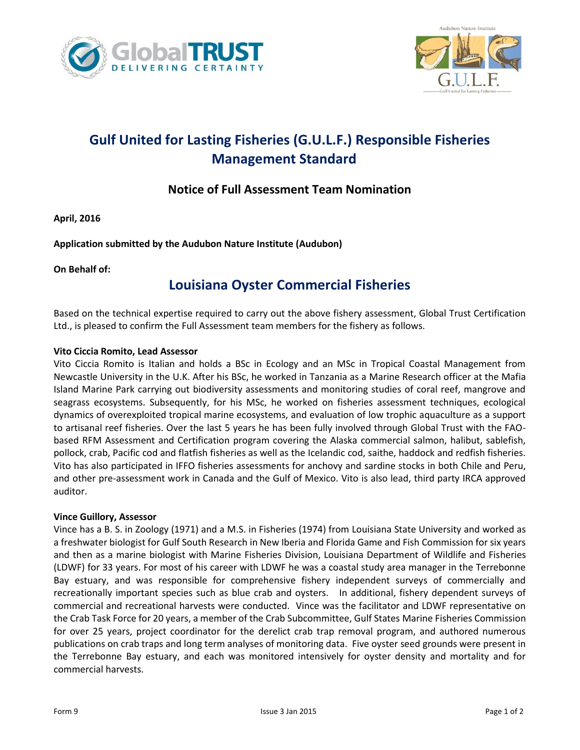



## **Gulf United for Lasting Fisheries (G.U.L.F.) Responsible Fisheries Management Standard**

### **Notice of Full Assessment Team Nomination**

**April, 2016**

**Application submitted by the Audubon Nature Institute (Audubon)**

#### **On Behalf of:**

## **Louisiana Oyster Commercial Fisheries**

Based on the technical expertise required to carry out the above fishery assessment, Global Trust Certification Ltd., is pleased to confirm the Full Assessment team members for the fishery as follows.

#### **Vito Ciccia Romito, Lead Assessor**

Vito Ciccia Romito is Italian and holds a BSc in Ecology and an MSc in Tropical Coastal Management from Newcastle University in the U.K. After his BSc, he worked in Tanzania as a Marine Research officer at the Mafia Island Marine Park carrying out biodiversity assessments and monitoring studies of coral reef, mangrove and seagrass ecosystems. Subsequently, for his MSc, he worked on fisheries assessment techniques, ecological dynamics of overexploited tropical marine ecosystems, and evaluation of low trophic aquaculture as a support to artisanal reef fisheries. Over the last 5 years he has been fully involved through Global Trust with the FAObased RFM Assessment and Certification program covering the Alaska commercial salmon, halibut, sablefish, pollock, crab, Pacific cod and flatfish fisheries as well as the Icelandic cod, saithe, haddock and redfish fisheries. Vito has also participated in IFFO fisheries assessments for anchovy and sardine stocks in both Chile and Peru, and other pre-assessment work in Canada and the Gulf of Mexico. Vito is also lead, third party IRCA approved auditor.

#### **Vince Guillory, Assessor**

Vince has a B. S. in Zoology (1971) and a M.S. in Fisheries (1974) from Louisiana State University and worked as a freshwater biologist for Gulf South Research in New Iberia and Florida Game and Fish Commission for six years and then as a marine biologist with Marine Fisheries Division, Louisiana Department of Wildlife and Fisheries (LDWF) for 33 years. For most of his career with LDWF he was a coastal study area manager in the Terrebonne Bay estuary, and was responsible for comprehensive fishery independent surveys of commercially and recreationally important species such as blue crab and oysters. In additional, fishery dependent surveys of commercial and recreational harvests were conducted. Vince was the facilitator and LDWF representative on the Crab Task Force for 20 years, a member of the Crab Subcommittee, Gulf States Marine Fisheries Commission for over 25 years, project coordinator for the derelict crab trap removal program, and authored numerous publications on crab traps and long term analyses of monitoring data. Five oyster seed grounds were present in the Terrebonne Bay estuary, and each was monitored intensively for oyster density and mortality and for commercial harvests.